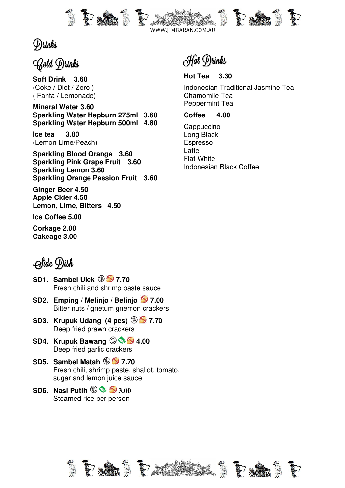

# Drinks

# Gold Drinks

**Soft Drink 3.60**  (Coke / Diet / Zero ) ( Fanta / Lemonade)

**Mineral Water 3.60 Sparkling Water Hepburn 275ml 3.60 Sparkling Water Hepburn 500ml 4.80** 

**Ice tea 3.80**  (Lemon Lime/Peach)

**Sparkling Blood Orange 3.60 Sparkling Pink Grape Fruit 3.60 Sparkling Lemon 3.60 Sparkling Orange Passion Fruit 3.60** 

**Ginger Beer 4.50 Apple Cider 4.50 Lemon, Lime, Bitters 4.50** 

**Ice Coffee 5.00** 

**Corkage 2.00 Cakeage 3.00** 

Hot Drinks

**Hot Tea 3.30**  Indonesian Traditional Jasmine Tea Chamomile Tea Peppermint Tea

**Coffee 4.00** 

**Cappuccino** Long Black Espresso **Latte** Flat White Indonesian Black Coffee

# Side Dish

- **SD1.** Sambel Ulek  $\circledast$  **5** 7.70 Fresh chili and shrimp paste sauce
- **SD2. Emping / Melinjo / Belinjo 37.00** Bitter nuts / gnetum gnemon crackers
- **SD3. Krupuk Udang (4 pcs)**  $\circledast$  **7.70** Deep fried prawn crackers
- **SD4. Krupuk Bawang**  $\circledast \circledast$  **4.00** Deep fried garlic crackers
- **SD5. Sambel Matah**  $\circledast$  **5 7.70** Fresh chili, shrimp paste, shallot, tomato, sugar and lemon juice sauce
- **SD6. Nasi Putih 3.00**  Steamed rice per person

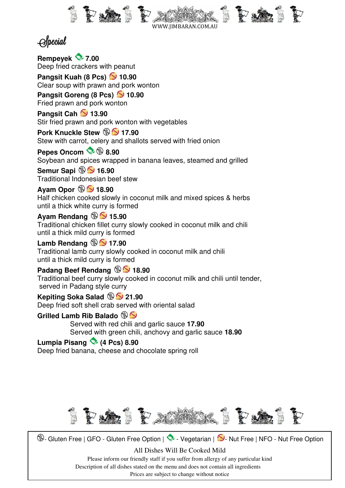

# **Special**

**Rempeyek 7.00**  Deep fried crackers with peanut

**Pangsit Kuah (8 Pcs) 2** 10.90 Clear soup with prawn and pork wonton

**Pangsit Goreng (8 Pcs) 2 10.90** Fried prawn and pork wonton

**Pangsit Cah 2 13.90** Stir fried prawn and pork wonton with vegetables

**Pork Knuckle Stew 17.90** Stew with carrot, celery and shallots served with fried onion

Pepes Oncom  $\rightarrow$  **9.90** Soybean and spices wrapped in banana leaves, steamed and grilled

**Semur Sapi**  $\circledast$  **5 16.90** Traditional Indonesian beef stew

**Ayam Opor**  $\circledast$  **5 18.90** 

Half chicken cooked slowly in coconut milk and mixed spices & herbs until a thick white curry is formed

**Ayam Rendang**  $\circledast$  **5.90** 

Traditional chicken fillet curry slowly cooked in coconut milk and chili until a thick mild curry is formed

**Lamb Rendang**  $\circledast$  **5 17.90** 

Traditional lamb curry slowly cooked in coconut milk and chili until a thick mild curry is formed

**Padang Beef Rendang**  $\circledast$  **18.90** 

Traditional beef curry slowly cooked in coconut milk and chili until tender, served in Padang style curry

**Kepiting Soka Salad**  $\circledR$  **21.90** 

Deep fried soft shell crab served with oriental salad

**Grilled Lamb Rib Balado**

 Served with red chili and garlic sauce **17.90**  Served with green chili, anchovy and garlic sauce **18.90** 

# **Lumpia Pisang (4 Pcs) 8.90**

Deep fried banana, cheese and chocolate spring roll

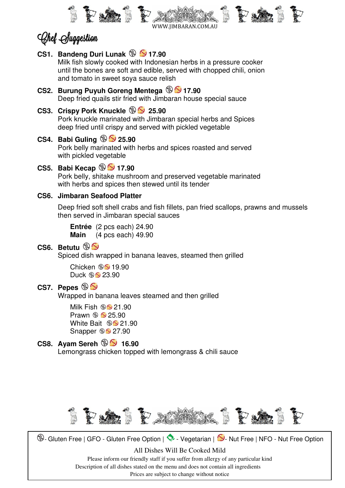

# Chef Suggestion

#### **CS1. Bandeng Duri Lunak**  $\circledast$  **5 17.90**

 Milk fish slowly cooked with Indonesian herbs in a pressure cooker until the bones are soft and edible, served with chopped chili, onion and tomato in sweet soya sauce relish

#### **CS2. Burung Puyuh Goreng Mentega**  $\circledast$  **5 17.90** Deep fried quails stir fried with Jimbaran house special sauce

## **CS3. Crispy Pork Knuckle**  $\circledast$  **25.90**

Pork knuckle marinated with Jimbaran special herbs and Spices deep fried until crispy and served with pickled vegetable

## **CS4. Babi Guling 25.90**

 Pork belly marinated with herbs and spices roasted and served with pickled vegetable

## **CS5. Babi Kecap**  $\circledast$  **5** 17.90

 Pork belly, shitake mushroom and preserved vegetable marinated with herbs and spices then stewed until its tender

### **CS6. Jimbaran Seafood Platter**

 Deep fried soft shell crabs and fish fillets, pan fried scallops, prawns and mussels then served in Jimbaran special sauces

**Entrée** (2 pcs each) 24.90 **Main** (4 pcs each) 49.90

## **CS6. Betutu**

Spiced dish wrapped in banana leaves, steamed then grilled

Chicken  $\circledast$  19.90 Duck  $\mathcal{L}$  23.90

## **CS7. Pepes**

Wrapped in banana leaves steamed and then grilled

Milk Fish  $\mathbf{\circ}$  21.90 Prawn  $\circledast$  25.90 White Bait  $\mathscr{B}$  21.90 Snapper  $\mathscr{D}$  27.90

# **CS8.** Ayam Sereh  $\circledR$  **5** 16.90

Lemongrass chicken topped with lemongrass & chili sauce

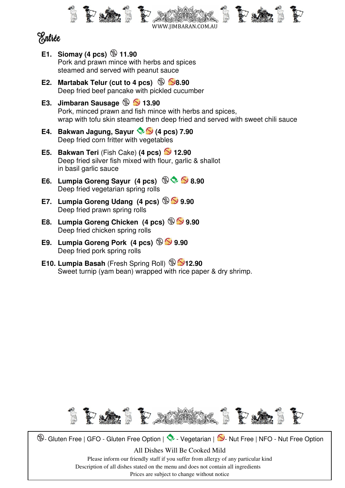

# Entrée

- **E1.** Siomay (4 pcs)  $\circledast$  11.90 Pork and prawn mince with herbs and spices steamed and served with peanut sauce
- **E2. Martabak Telur (cut to 4 pcs)**  $\circledast$  **8.90** Deep fried beef pancake with pickled cucumber
- **E3. Jimbaran Sausage**  $\circledast$  **3.90**  Pork, minced prawn and fish mince with herbs and spices, wrap with tofu skin steamed then deep fried and served with sweet chili sauce
- **E4. Bakwan Jagung, Sayur (4 pcs) 7.90**  Deep fried corn fritter with vegetables
- **E5. Bakwan Teri** (Fish Cake) **(4 pcs) 12.90**  Deep fried silver fish mixed with flour, garlic & shallot in basil garlic sauce
- **E6. Lumpia Goreng Sayur (4 pcs) 8.90**  Deep fried vegetarian spring rolls
- **E7.** Lumpia Goreng Udang (4 pcs)  $\circledast$  9.90 Deep fried prawn spring rolls
- **E8. Lumpia Goreng Chicken (4 pcs)**  $\circledast$  **9.90** Deep fried chicken spring rolls
- **E9. Lumpia Goreng Pork (4 pcs) 9.90**  Deep fried pork spring rolls
- **E10. Lumpia Basah** (Fresh Spring Roll) **12.90** Sweet turnip (yam bean) wrapped with rice paper & dry shrimp.

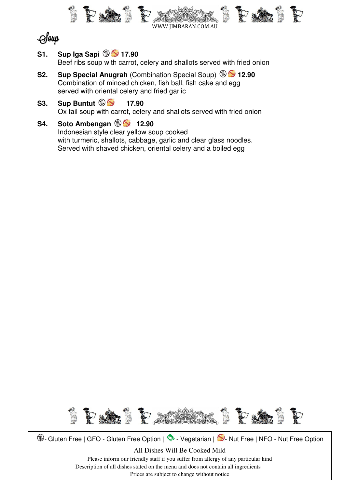



**S1.** Sup Iga Sapi  $\circledast$  5 17.90

Beef ribs soup with carrot, celery and shallots served with fried onion

- **S2.** Sup Special Anugrah *(Combination Special Soup)* **9 2.90**  Combination of minced chicken, fish ball, fish cake and egg served with oriental celery and fried garlic
- **S3.** Sup Buntut  $\circledast$  **53. Sup Buntut**  $\circledast$  **17.90** Ox tail soup with carrot, celery and shallots served with fried onion
- **S4.** Soto Ambengan **12.90**

Indonesian style clear yellow soup cooked with turmeric, shallots, cabbage, garlic and clear glass noodles. Served with shaved chicken, oriental celery and a boiled egg

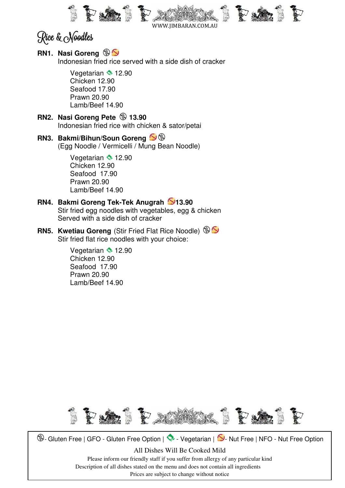

WWW.JIMBARAN.COM.AU

Rice & Noodles

## **RN1. Nasi Goreng**

Indonesian fried rice served with a side dish of cracker

Vegetarian  $\approx 12.90$  Chicken 12.90 Seafood 17.90 Prawn 20.90 Lamb/Beef 14.90

- **RN2. Nasi Goreng Pete**  $\circledast$  **13.90** Indonesian fried rice with chicken & sator/petai
- **RN3. Bakmi/Bihun/Soun Goreng**  (Egg Noodle / Vermicelli / Mung Bean Noodle)

Vegetarian  $\approx$  12.90 Chicken 12.90 Seafood 17.90 Prawn 20.90 Lamb/Beef 14.90

#### **RN4. Bakmi Goreng Tek-Tek Anugrah 13.90**  Stir fried egg noodles with vegetables, egg & chicken Served with a side dish of cracker

**RN5. Kwetiau Goreng** (Stir Fried Flat Rice Noodle) Stir fried flat rice noodles with your choice:

> Vegetarian  $\approx 12.90$  Chicken 12.90 Seafood 17.90 Prawn 20.90 Lamb/Beef 14.90

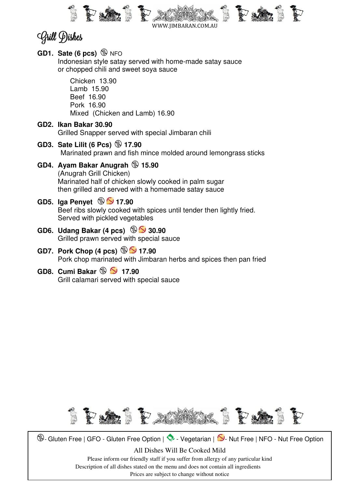

WWW.JIMBARAN.COM.AU

# Grill Dishes

- **GD1. Sate (6 pcs)** NFO Indonesian style satay served with home-made satay sauce or chopped chili and sweet soya sauce Chicken 13.90 Lamb 15.90 Beef 16.90 Pork 16.90 Mixed (Chicken and Lamb) 16.90 **GD2. Ikan Bakar 30.90**  Grilled Snapper served with special Jimbaran chili **GD3. Sate Lilit (6 Pcs) 17.90**  Marinated prawn and fish mince molded around lemongrass sticks **GD4. Ayam Bakar Anugrah 15.90**  (Anugrah Grill Chicken) Marinated half of chicken slowly cooked in palm sugar then grilled and served with a homemade satay sauce **GD5. Iga Penyet**  $\circledast$  **5 17.90** Beef ribs slowly cooked with spices until tender then lightly fried. Served with pickled vegetables **GD6. Udang Bakar (4 pcs) 30.90**  Grilled prawn served with special sauce
- **GD7. Pork Chop (4 pcs) 17.90**  Pork chop marinated with Jimbaran herbs and spices then pan fried
- **GD8. Cumi Bakar**  $\circledast$  **5 17.90** Grill calamari served with special sauce

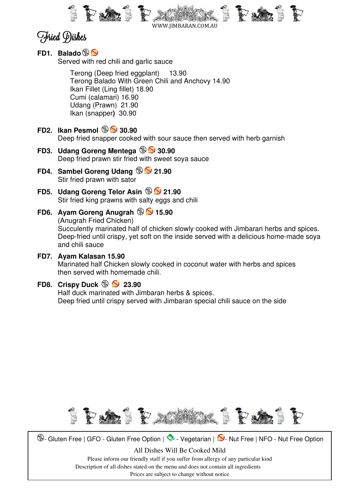

WWW.JIMBARAN.COM.AU

# Fried Dishes

**FD1. Balado** 

Served with red chili and garlic sauce

 Terong (Deep fried eggplant) 13.90 Terong Balado With Green Chili and Anchovy 14.90 Ikan Fillet (Ling fillet) 18.90 Cumi (calamari) 16.90 Udang (Prawn) 21.90 Ikan (snapper**)** 30.90

## **FD2. Ikan Pesmol 30.90**  Deep fried snapper cooked with sour sauce then served with herb garnish

- **FD3. Udang Goreng Mentega**  $\circledast$  **30.90** Deep fried prawn stir fried with sweet soya sauce
- **FD4.** Sambel Goreng Udang  $\circledast$  21.90 Stir fried prawn with sator
- **FD5.** Udang Goreng Telor Asin  $\circledast$  21.90 Stir fried king prawns with salty eggs and chili

# **FD6.** Ayam Goreng Anugrah  $\circledast$  15.90 (Anugrah Fried Chicken) Succulently marinated half of chicken slowly cooked with Jimbaran herbs and spices.

Deep-fried until crispy, yet soft on the inside served with a delicious home-made soya and chili sauce

## **FD7. Ayam Kalasan 15.90**

 Marinated half Chicken slowly cooked in coconut water with herbs and spices then served with homemade chili.

## **FD8. Crispy Duck**  $\circledast$  **23.90**

 Half duck marinated with Jimbaran herbs & spices. Deep fried until crispy served with Jimbaran special chili sauce on the side

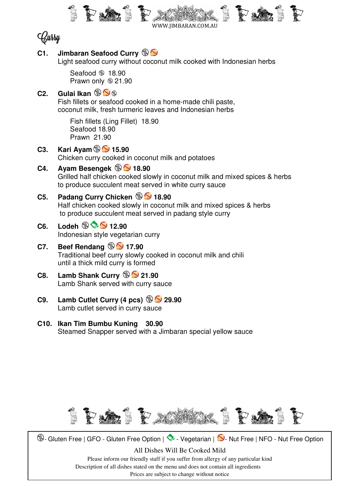



## **C1. Jimbaran Seafood Curry**

Light seafood curry without coconut milk cooked with Indonesian herbs

Seafood  $\circledast$  18.90 Prawn only  $\circledast$  21.90

# **C2. Gulai Ikan**

 Fish fillets or seafood cooked in a home-made chili paste, coconut milk, fresh turmeric leaves and Indonesian herbs

 Fish fillets (Ling Fillet) 18.90 Seafood 18.90 Prawn 21.90

- **C3.** Kari Ayam  $\circledR$  15.90 Chicken curry cooked in coconut milk and potatoes
- **C4.** Ayam Besengek  $\circledast$  5 18.90 Grilled half chicken cooked slowly in coconut milk and mixed spices & herbs to produce succulent meat served in white curry sauce
- **C5.** Padang Curry Chicken **18.90**  Half chicken cooked slowly in coconut milk and mixed spices & herbs to produce succulent meat served in padang style curry
- C6. Lodeh  $\circledast$   $\circledast$  12.90 Indonesian style vegetarian curry

## **C7.** Beef Rendang  $\circledast$  5 17.90

Traditional beef curry slowly cooked in coconut milk and chili until a thick mild curry is formed

- **C8.** Lamb Shank Curry  $\circledast$  21.90 Lamb Shank served with curry sauce
- **C9. Lamb Cutlet Curry (4 pcs) 29.90**  Lamb cutlet served in curry sauce
- **C10. Ikan Tim Bumbu Kuning 30.90**  Steamed Snapper served with a Jimbaran special yellow sauce

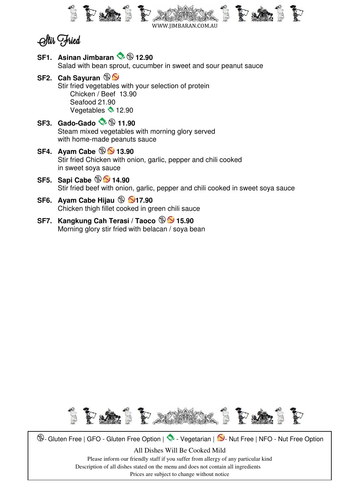



**SF1.** Asinan Jimbaran  $\otimes$   $\circledast$  12.90 Salad with bean sprout, cucumber in sweet and sour peanut sauce **SF2. Cah Sayuran**  Stir fried vegetables with your selection of protein Chicken / Beef 13.90 Seafood 21.90

Vegetables  $\blacklozenge$  12.90

- **SF3. Gado-Gado & 11.90**  Steam mixed vegetables with morning glory served with home-made peanuts sauce
- **SF4.** Ayam Cabe  $\circledast$  **5** 13.90 Stir fried Chicken with onion, garlic, pepper and chili cooked in sweet soya sauce
- **SF5.** Sapi Cabe  $\circledast$  S 14.90 Stir fried beef with onion, garlic, pepper and chili cooked in sweet soya sauce
- **SF6. Ayam Cabe Hijau**  $\circledast$  **517.90** Chicken thigh fillet cooked in green chili sauce
- **SF7. Kangkung Cah Terasi / Taoco**  $\circledast$  **5.90** Morning glory stir fried with belacan / soya bean

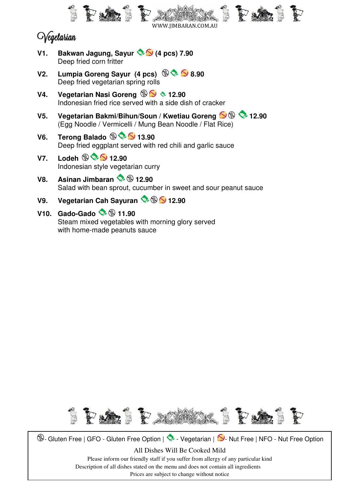

# *O*egetarian

- **V1. Bakwan Jagung, Sayur (4 pcs) 7.90**  Deep fried corn fritter
- **V2.** Lumpia Goreng Sayur (4 pcs)  $\circledast \bullet \bullet$  8.90 Deep fried vegetarian spring rolls
- **V4. Vegetarian Nasi Goreng 12.90** Indonesian fried rice served with a side dish of cracker
- **V5.** Vegetarian Bakmi/Bihun/Soun / Kwetiau Goreng  $\mathbf{S} \circledast \mathbf{S}$  12.90 (Egg Noodle / Vermicelli / Mung Bean Noodle / Flat Rice)
- **V6.** Terong Balado **13.90** Deep fried eggplant served with red chili and garlic sauce
- $V7.$  Lodeh  $\circledast$   $\circledast$  12.90 Indonesian style vegetarian curry
- **V8.** Asinan Jimbaran **12.90** Salad with bean sprout, cucumber in sweet and sour peanut sauce
- **V9.** Vegetarian Cah Savuran  $\Diamond$  **12.90**

# **V10. Gado-Gado 11.90**

 Steam mixed vegetables with morning glory served with home-made peanuts sauce

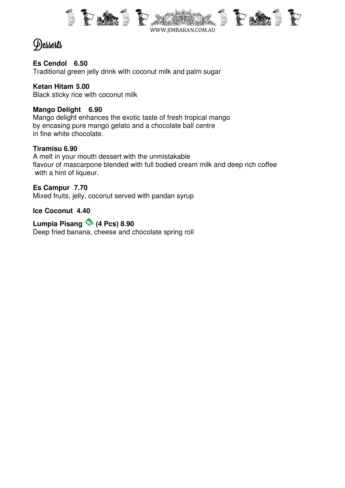

# Desserts

### **Es Cendol 6.50**

Traditional green jelly drink with coconut milk and palm sugar

### **Ketan Hitam 5.00**

Black sticky rice with coconut milk

## **Mango Delight 6.90**

Mango delight enhances the exotic taste of fresh tropical mango by encasing pure mango gelato and a chocolate ball centre in fine white chocolate.

### **Tiramisu 6.90**

A melt in your mouth dessert with the unmistakable flavour of mascarpone blended with full bodied cream milk and deep rich coffee with a hint of liqueur.

### **Es Campur 7.70**

Mixed fruits, jelly, coconut served with pandan syrup

#### **Ice Coconut 4.40**

**Lumpia Pisang (4 Pcs) 8.90**  Deep fried banana, cheese and chocolate spring roll